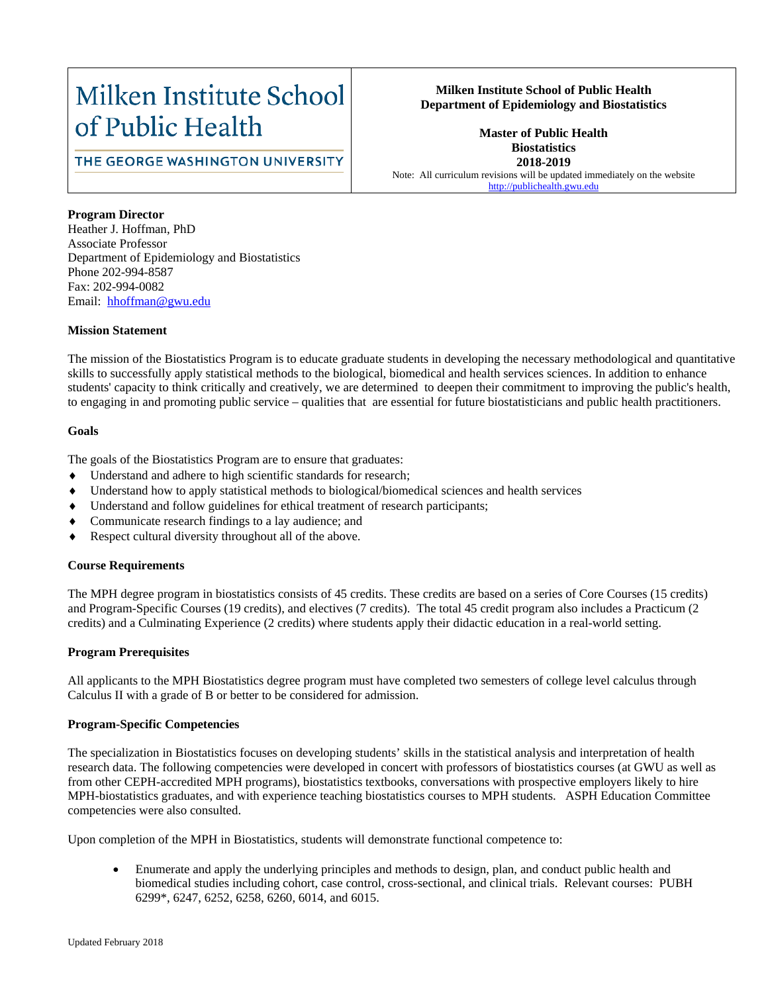# Milken Institute School of Public Health

# THE GEORGE WASHINGTON UNIVERSITY

## **Milken Institute School of Public Health Department of Epidemiology and Biostatistics**

**Master of Public Health Biostatistics 2018-2019** Note: All curriculum revisions will be updated immediately on the website [http://publichealth.gwu.edu](http://publichealth.gwu.edu/)

### **Program Director**

Heather J. Hoffman, PhD Associate Professor Department of Epidemiology and Biostatistics Phone 202-994-8587 Fax: 202-994-0082 Email: hhoffman@gwu.edu

#### **Mission Statement**

The mission of the Biostatistics Program is to educate graduate students in developing the necessary methodological and quantitative skills to successfully apply statistical methods to the biological, biomedical and health services sciences. In addition to enhance students' capacity to think critically and creatively, we are determined to deepen their commitment to improving the public's health, to engaging in and promoting public service – qualities that are essential for future biostatisticians and public health practitioners.

### **Goals**

The goals of the Biostatistics Program are to ensure that graduates:

- Understand and adhere to high scientific standards for research;
- Understand how to apply statistical methods to biological/biomedical sciences and health services
- Understand and follow guidelines for ethical treatment of research participants;
- Communicate research findings to a lay audience; and
- Respect cultural diversity throughout all of the above.

### **Course Requirements**

The MPH degree program in biostatistics consists of 45 credits. These credits are based on a series of Core Courses (15 credits) and Program-Specific Courses (19 credits), and electives (7 credits). The total 45 credit program also includes a Practicum (2 credits) and a Culminating Experience (2 credits) where students apply their didactic education in a real-world setting.

### **Program Prerequisites**

All applicants to the MPH Biostatistics degree program must have completed two semesters of college level calculus through Calculus II with a grade of B or better to be considered for admission.

#### **Program-Specific Competencies**

The specialization in Biostatistics focuses on developing students' skills in the statistical analysis and interpretation of health research data. The following competencies were developed in concert with professors of biostatistics courses (at GWU as well as from other CEPH-accredited MPH programs), biostatistics textbooks, conversations with prospective employers likely to hire MPH-biostatistics graduates, and with experience teaching biostatistics courses to MPH students. ASPH Education Committee competencies were also consulted.

Upon completion of the MPH in Biostatistics, students will demonstrate functional competence to:

• Enumerate and apply the underlying principles and methods to design, plan, and conduct public health and biomedical studies including cohort, case control, cross-sectional, and clinical trials. Relevant courses: PUBH 6299\*, 6247, 6252, 6258, 6260, 6014, and 6015.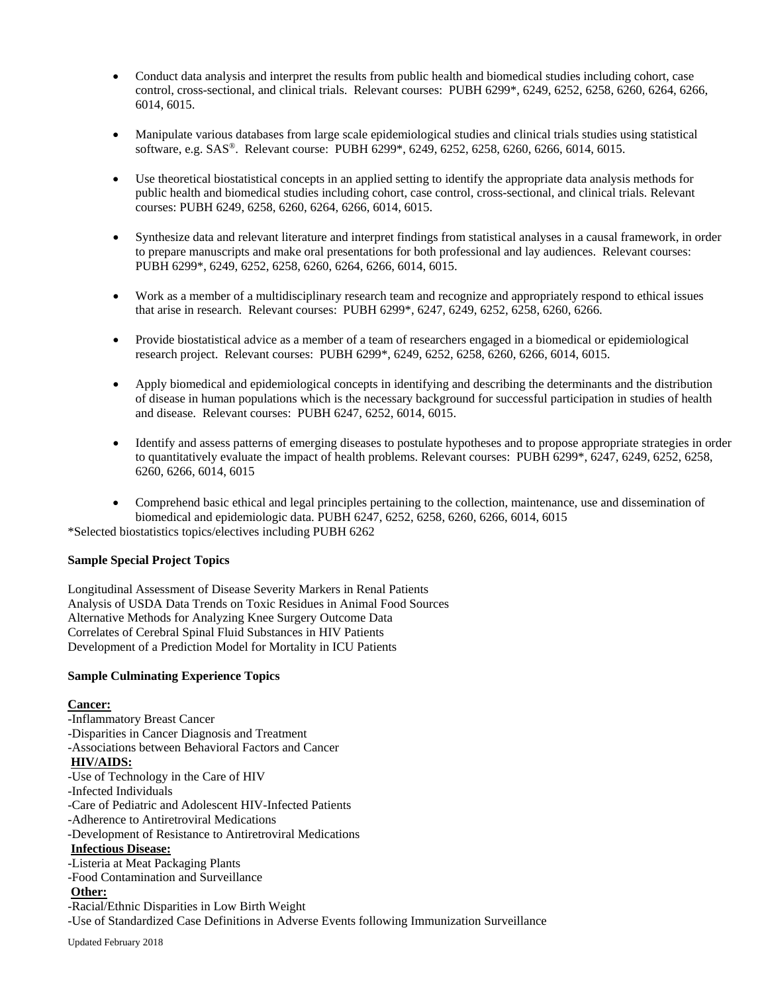- Conduct data analysis and interpret the results from public health and biomedical studies including cohort, case control, cross-sectional, and clinical trials. Relevant courses: PUBH 6299\*, 6249, 6252, 6258, 6260, 6264, 6266, 6014, 6015.
- Manipulate various databases from large scale epidemiological studies and clinical trials studies using statistical software, e.g. SAS®. Relevant course: PUBH 6299\*, 6249, 6252, 6258, 6260, 6266, 6014, 6015.
- Use theoretical biostatistical concepts in an applied setting to identify the appropriate data analysis methods for public health and biomedical studies including cohort, case control, cross-sectional, and clinical trials. Relevant courses: PUBH 6249, 6258, 6260, 6264, 6266, 6014, 6015.
- Synthesize data and relevant literature and interpret findings from statistical analyses in a causal framework, in order to prepare manuscripts and make oral presentations for both professional and lay audiences. Relevant courses: PUBH 6299\*, 6249, 6252, 6258, 6260, 6264, 6266, 6014, 6015.
- Work as a member of a multidisciplinary research team and recognize and appropriately respond to ethical issues that arise in research. Relevant courses: PUBH 6299\*, 6247, 6249, 6252, 6258, 6260, 6266.
- Provide biostatistical advice as a member of a team of researchers engaged in a biomedical or epidemiological research project. Relevant courses: PUBH 6299\*, 6249, 6252, 6258, 6260, 6266, 6014, 6015.
- Apply biomedical and epidemiological concepts in identifying and describing the determinants and the distribution of disease in human populations which is the necessary background for successful participation in studies of health and disease. Relevant courses: PUBH 6247, 6252, 6014, 6015.
- Identify and assess patterns of emerging diseases to postulate hypotheses and to propose appropriate strategies in order to quantitatively evaluate the impact of health problems. Relevant courses: PUBH 6299\*, 6247, 6249, 6252, 6258, 6260, 6266, 6014, 6015
- Comprehend basic ethical and legal principles pertaining to the collection, maintenance, use and dissemination of biomedical and epidemiologic data. PUBH 6247, 6252, 6258, 6260, 6266, 6014, 6015

\*Selected biostatistics topics/electives including PUBH 6262

### **Sample Special Project Topics**

Longitudinal Assessment of Disease Severity Markers in Renal Patients Analysis of USDA Data Trends on Toxic Residues in Animal Food Sources Alternative Methods for Analyzing Knee Surgery Outcome Data Correlates of Cerebral Spinal Fluid Substances in HIV Patients Development of a Prediction Model for Mortality in ICU Patients

### **Sample Culminating Experience Topics**

### **Cancer:**

-Inflammatory Breast Cancer -Disparities in Cancer Diagnosis and Treatment -Associations between Behavioral Factors and Cancer **HIV/AIDS:** -Use of Technology in the Care of HIV -Infected Individuals -Care of Pediatric and Adolescent HIV-Infected Patients -Adherence to Antiretroviral Medications -Development of Resistance to Antiretroviral Medications **Infectious Disease:** -Listeria at Meat Packaging Plants -Food Contamination and Surveillance **Other:** -Racial/Ethnic Disparities in Low Birth Weight -Use of Standardized Case Definitions in Adverse Events following Immunization Surveillance

Updated February 2018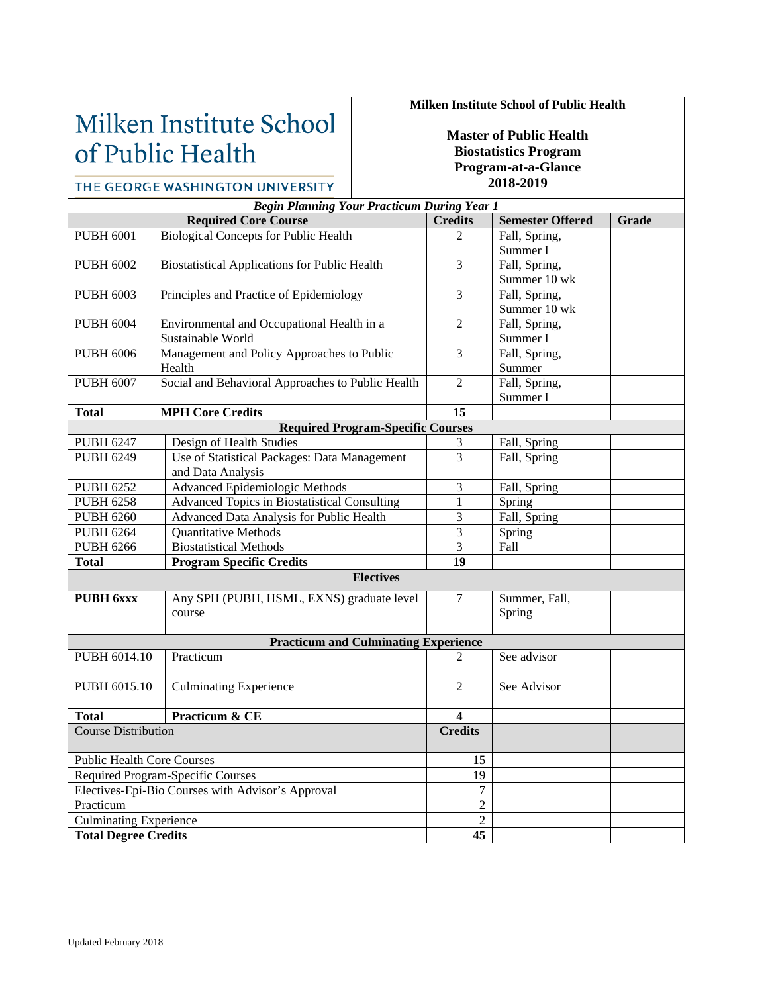# Milken Institute School of Public Health

THE GEORGE WASHINGTON UNIVERSITY

## **Milken Institute School of Public Health**

**Master of Public Health Biostatistics Program Program-at-a-Glance 2018-2019**

### *Begin Planning Your Practicum During Year 1* **Required Core Course Credits Credits Semester Offered Grade** PUBH 6001 Biological Concepts for Public Health 2 Fall, Spring, Summer I PUBH 6002 Biostatistical Applications for Public Health 3 Fall, Spring, Summer 10 wk PUBH 6003 Principles and Practice of Epidemiology 3 Fall, Spring, Summer 10 wk PUBH 6004 Environmental and Occupational Health in a Sustainable World 2 Fall, Spring, Summer I PUBH 6006 Management and Policy Approaches to Public Health 3 Fall, Spring, Summer PUBH 6007 Social and Behavioral Approaches to Public Health 2 Fall, Spring, Summer I Total MPH Core Credits 15 **Required Program-Specific Courses** PUBH 6247 Design of Health Studies 2 and 3 Fall, Spring PUBH 6249 Use of Statistical Packages: Data Management and Data Analysis 3 Fall, Spring PUBH 6252 Advanced Epidemiologic Methods 3 Fall, Spring PUBH 6258 Advanced Topics in Biostatistical Consulting 1 Spring<br>
PUBH 6260 Advanced Data Analysis for Public Health 3 Fall, St Advanced Data Analysis for Public Health 3 Fall, Spring PUBH 6264 Quantitative Methods 3 Spring PUBH 6266 Biostatistical Methods 3 Fall **Total Program Specific Credits 19 Electives PUBH 6xxx** Any SPH (PUBH, HSML, EXNS) graduate level course 7 Summer, Fall, Spring **Practicum and Culminating Experience** PUBH 6014.10 Practicum 2 See advisor PUBH 6015.10 Culminating Experience 2 See Advisor **Total Practicum & CE 4**<br> **Course Distribution Credits Course Distribution** Public Health Core Courses 15 Required Program-Specific Courses 19 Electives-Epi-Bio Courses with Advisor's Approval 7 Practicum 2<br>
Culminating Experience 2 Culminating Experience **Total Degree Credits 45**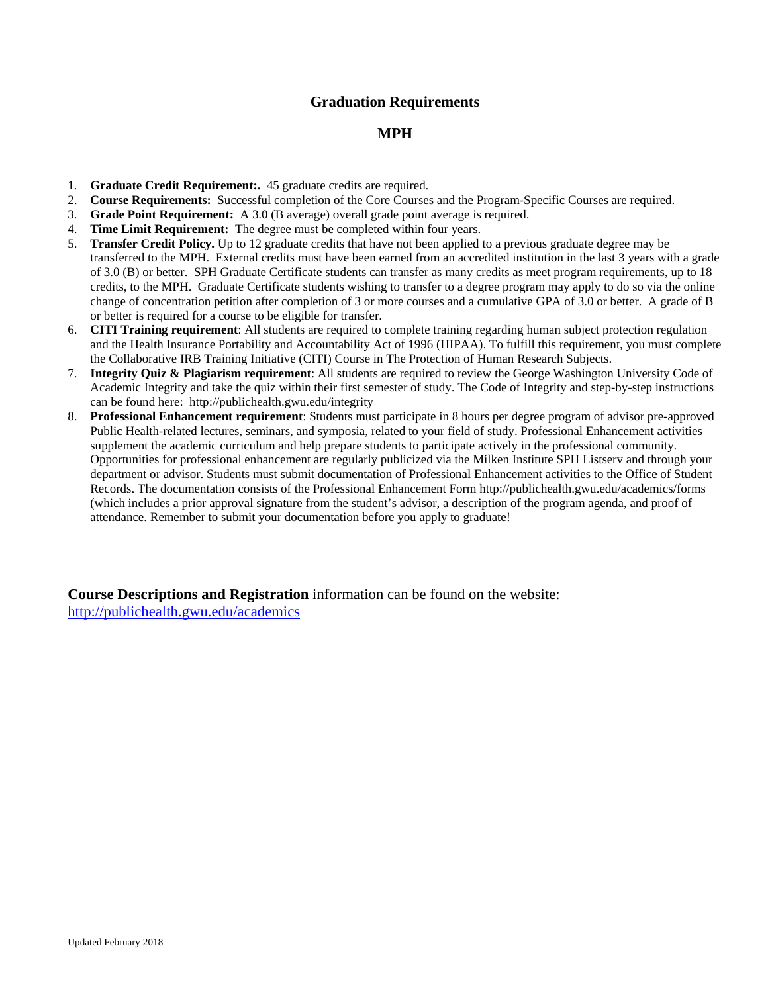## **Graduation Requirements**

## **MPH**

- 1. **Graduate Credit Requirement:.** 45 graduate credits are required.
- 2. **Course Requirements:** Successful completion of the Core Courses and the Program-Specific Courses are required.
- 3. **Grade Point Requirement:** A 3.0 (B average) overall grade point average is required.
- 4. **Time Limit Requirement:** The degree must be completed within four years.
- 5. **Transfer Credit Policy.** Up to 12 graduate credits that have not been applied to a previous graduate degree may be transferred to the MPH. External credits must have been earned from an accredited institution in the last 3 years with a grade of 3.0 (B) or better. SPH Graduate Certificate students can transfer as many credits as meet program requirements, up to 18 credits, to the MPH. Graduate Certificate students wishing to transfer to a degree program may apply to do so via the online change of concentration petition after completion of 3 or more courses and a cumulative GPA of 3.0 or better. A grade of B or better is required for a course to be eligible for transfer.
- 6. **CITI Training requirement**: All students are required to complete training regarding human subject protection regulation and the Health Insurance Portability and Accountability Act of 1996 (HIPAA). To fulfill this requirement, you must complete the Collaborative IRB Training Initiative (CITI) Course in The Protection of Human Research Subjects.
- 7. **Integrity Quiz & Plagiarism requirement**: All students are required to review the George Washington University Code of Academic Integrity and take the quiz within their first semester of study. The Code of Integrity and step-by-step instructions can be found here: http://publichealth.gwu.edu/integrity
- 8. **Professional Enhancement requirement**: Students must participate in 8 hours per degree program of advisor pre-approved Public Health-related lectures, seminars, and symposia, related to your field of study. Professional Enhancement activities supplement the academic curriculum and help prepare students to participate actively in the professional community. Opportunities for professional enhancement are regularly publicized via the Milken Institute SPH Listserv and through your department or advisor. Students must submit documentation of Professional Enhancement activities to the Office of Student Records. The documentation consists of the Professional Enhancement Form http://publichealth.gwu.edu/academics/forms (which includes a prior approval signature from the student's advisor, a description of the program agenda, and proof of attendance. Remember to submit your documentation before you apply to graduate!

**Course Descriptions and Registration** information can be found on the website: <http://publichealth.gwu.edu/academics>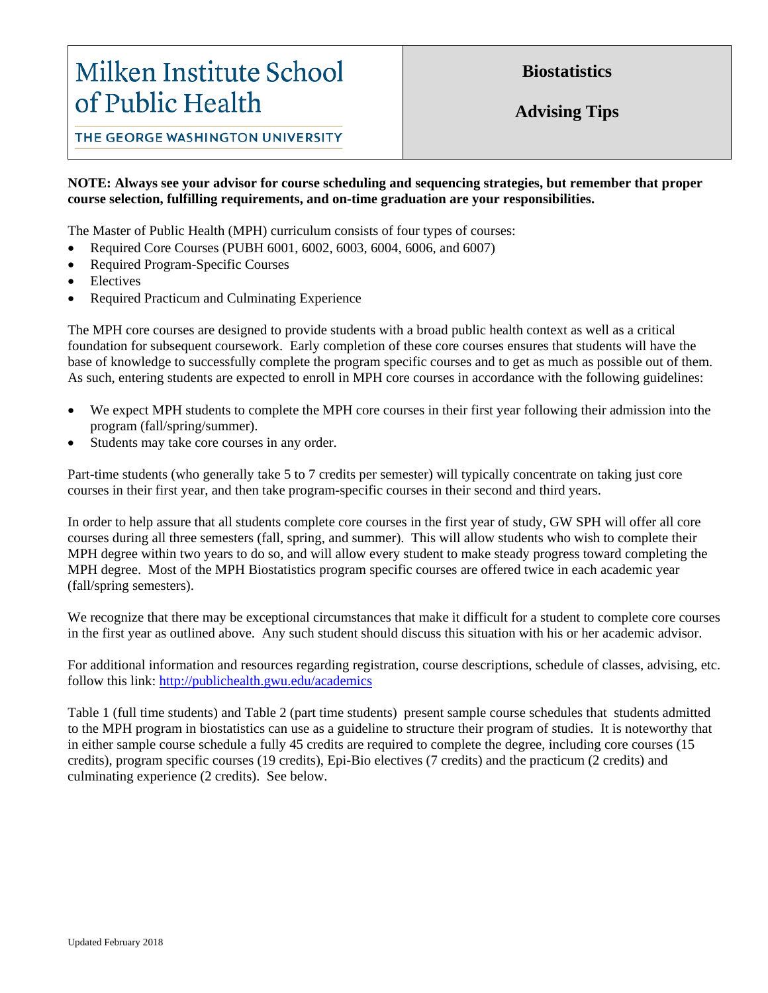# Milken Institute School of Public Health

**Biostatistics**

**Advising Tips**

THE GEORGE WASHINGTON UNIVERSITY

## **NOTE: Always see your advisor for course scheduling and sequencing strategies, but remember that proper course selection, fulfilling requirements, and on-time graduation are your responsibilities.**

The Master of Public Health (MPH) curriculum consists of four types of courses:

- Required Core Courses (PUBH 6001, 6002, 6003, 6004, 6006, and 6007)
- Required Program-Specific Courses
- **Electives**
- Required Practicum and Culminating Experience

The MPH core courses are designed to provide students with a broad public health context as well as a critical foundation for subsequent coursework. Early completion of these core courses ensures that students will have the base of knowledge to successfully complete the program specific courses and to get as much as possible out of them. As such, entering students are expected to enroll in MPH core courses in accordance with the following guidelines:

- We expect MPH students to complete the MPH core courses in their first year following their admission into the program (fall/spring/summer).
- Students may take core courses in any order.

Part-time students (who generally take 5 to 7 credits per semester) will typically concentrate on taking just core courses in their first year, and then take program-specific courses in their second and third years.

In order to help assure that all students complete core courses in the first year of study, GW SPH will offer all core courses during all three semesters (fall, spring, and summer). This will allow students who wish to complete their MPH degree within two years to do so, and will allow every student to make steady progress toward completing the MPH degree. Most of the MPH Biostatistics program specific courses are offered twice in each academic year (fall/spring semesters).

We recognize that there may be exceptional circumstances that make it difficult for a student to complete core courses in the first year as outlined above. Any such student should discuss this situation with his or her academic advisor.

For additional information and resources regarding registration, course descriptions, schedule of classes, advising, etc. follow this link: <http://publichealth.gwu.edu/academics>

Table 1 (full time students) and Table 2 (part time students) present sample course schedules that students admitted to the MPH program in biostatistics can use as a guideline to structure their program of studies. It is noteworthy that in either sample course schedule a fully 45 credits are required to complete the degree, including core courses (15 credits), program specific courses (19 credits), Epi-Bio electives (7 credits) and the practicum (2 credits) and culminating experience (2 credits). See below.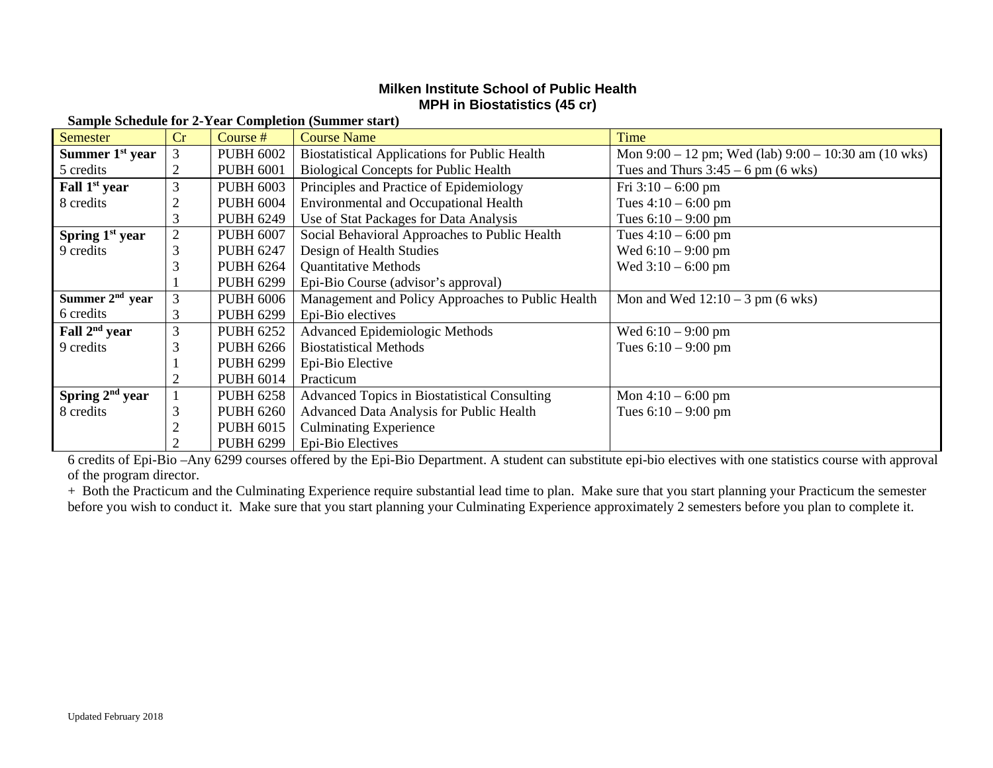## **Milken Institute School of Public Health MPH in Biostatistics (45 cr)**

| Semester                  | Cr             | Course #         | <b>Course Name</b>                                   | Time                                                 |
|---------------------------|----------------|------------------|------------------------------------------------------|------------------------------------------------------|
| Summer $1st$ year         | 3              | <b>PUBH 6002</b> | <b>Biostatistical Applications for Public Health</b> | Mon 9:00 – 12 pm; Wed (lab) 9:00 – 10:30 am (10 wks) |
| 5 credits                 | $\overline{2}$ | <b>PUBH 6001</b> | <b>Biological Concepts for Public Health</b>         | Tues and Thurs $3:45 - 6$ pm (6 wks)                 |
| Fall 1 <sup>st</sup> year | 3              | <b>PUBH 6003</b> | Principles and Practice of Epidemiology              | Fri $3:10 - 6:00$ pm                                 |
| 8 credits                 | 2              | <b>PUBH 6004</b> | <b>Environmental and Occupational Health</b>         | Tues $4:10 - 6:00$ pm                                |
|                           |                | <b>PUBH 6249</b> | Use of Stat Packages for Data Analysis               | Tues $6:10 - 9:00$ pm                                |
| Spring $1st$ year         | $\overline{2}$ | <b>PUBH 6007</b> | Social Behavioral Approaches to Public Health        | Tues $4:10 - 6:00$ pm                                |
| 9 credits                 | 3              | <b>PUBH 6247</b> | Design of Health Studies                             | Wed $6:10 - 9:00$ pm                                 |
|                           |                | <b>PUBH 6264</b> | <b>Quantitative Methods</b>                          | Wed $3:10 - 6:00$ pm                                 |
|                           |                | <b>PUBH 6299</b> | Epi-Bio Course (advisor's approval)                  |                                                      |
| Summer $2nd$ year         | 3              | <b>PUBH 6006</b> | Management and Policy Approaches to Public Health    | Mon and Wed $12:10 - 3$ pm (6 wks)                   |
| 6 credits                 | 3              | <b>PUBH 6299</b> | Epi-Bio electives                                    |                                                      |
| Fall $2nd$ year           | 3              | <b>PUBH 6252</b> | Advanced Epidemiologic Methods                       | Wed $6:10 - 9:00$ pm                                 |
| 9 credits                 | 3              | <b>PUBH 6266</b> | <b>Biostatistical Methods</b>                        | Tues $6:10 - 9:00$ pm                                |
|                           |                | <b>PUBH 6299</b> | Epi-Bio Elective                                     |                                                      |
|                           | 2              | <b>PUBH 6014</b> | Practicum                                            |                                                      |
| Spring $2nd$ year         |                | <b>PUBH 6258</b> | <b>Advanced Topics in Biostatistical Consulting</b>  | Mon $4:10 - 6:00$ pm                                 |
| 8 credits                 | 3              | <b>PUBH 6260</b> | Advanced Data Analysis for Public Health             | Tues $6:10 - 9:00$ pm                                |
|                           | ി              | <b>PUBH 6015</b> | <b>Culminating Experience</b>                        |                                                      |
|                           |                | <b>PUBH 6299</b> | Epi-Bio Electives                                    |                                                      |

### **Sample Schedule for 2-Year Completion (Summer start)**

6 credits of Epi-Bio –Any 6299 courses offered by the Epi-Bio Department. A student can substitute epi-bio electives with one statistics course with approval of the program director.

+ Both the Practicum and the Culminating Experience require substantial lead time to plan. Make sure that you start planning your Practicum the semester before you wish to conduct it. Make sure that you start planning your Culminating Experience approximately 2 semesters before you plan to complete it.